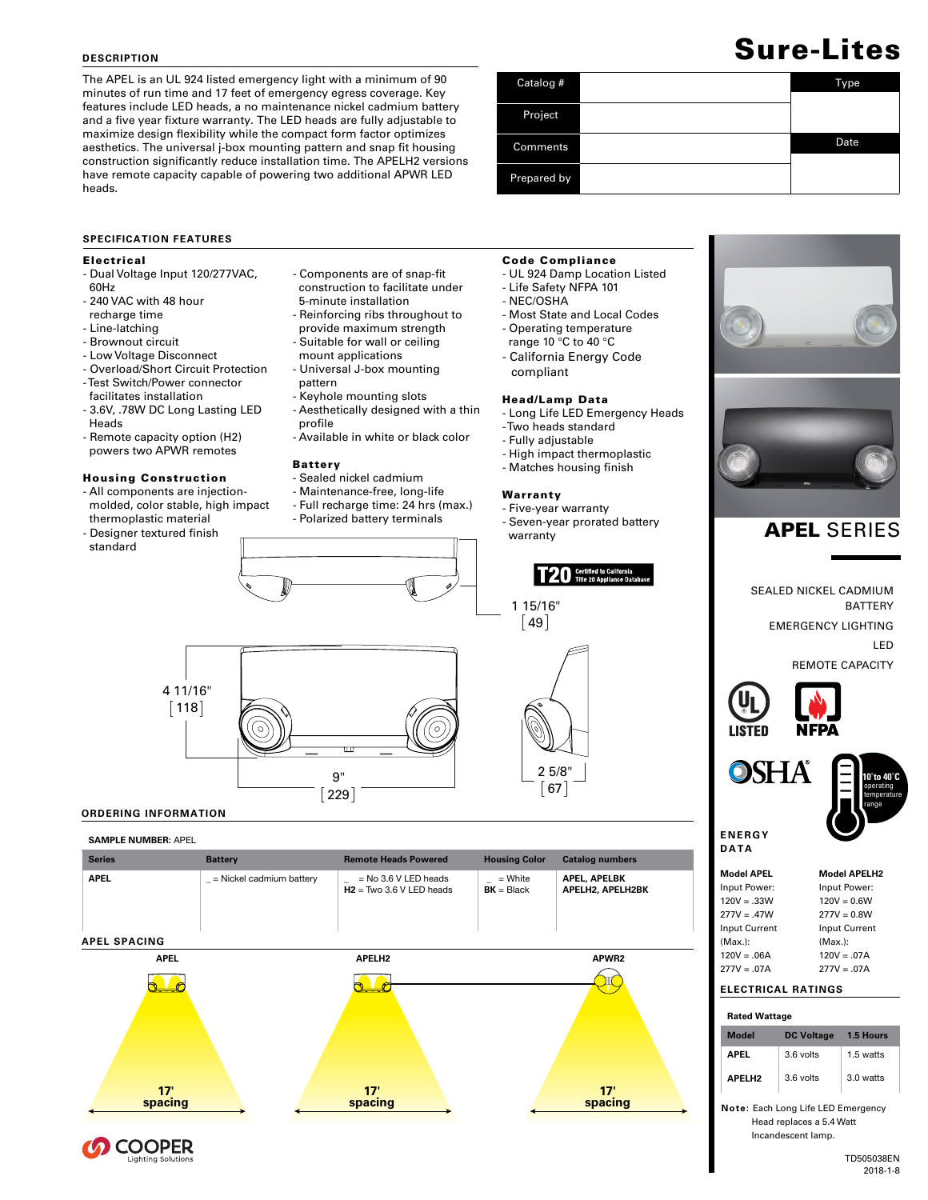## **DESCRIPTION**

The APEL is an UL 924 listed emergency light with a minimum of 90 minutes of run time and 17 feet of emergency egress coverage. Key features include LED heads, a no maintenance nickel cadmium battery and a five year fixture warranty. The LED heads are fully adjustable to maximize design flexibility while the compact form factor optimizes aesthetics. The universal j-box mounting pattern and snap fit housing construction significantly reduce installation time. The APELH2 versions have remote capacity capable of powering two additional APWR LED heads.

# **SPECIFICATION FEATURES**

## Electrical

- Dual Voltage Input 120/277VAC, 60Hz
- 240 VAC with 48 hour recharge time
- Line-latching
- Brownout circuit
- Low Voltage Disconnect
- Overload/Short Circuit Protection - Test Switch/Power connector
- facilitates installation - 3.6V, .78W DC Long Lasting LED Heads
- Remote capacity option (H2) powers two APWR remotes

## Housing Construction

- All components are injection molded, color stable, high impact thermoplastic material

- Designer textured finish standard



- 5-minute installation - Reinforcing ribs throughout to
- provide maximum strength
- Suitable for wall or ceiling
- mount applications
- Universal J-box mounting
- pattern
- Keyhole mounting slots
- Aesthetically designed with a thin
- profile - Available in white or black color
- 

## Battery

- Sealed nickel cadmium
- Maintenance-free, long-life
- Full recharge time: 24 hrs (max.) - Polarized battery terminals





### Code Compliance

- UL 924 Damp Location Listed - Life Safety NFPA 101
- NEC/OSHA
- 
- Most State and Local Codes - Operating temperature
- range 10 °C to 40 °C
- California Energy Code compliant

## Head/Lamp Data

- Long Life LED Emergency Heads
- Two heads standard
- Fully adjustable
- High impact thermoplastic
- Matches housing finish

#### Warranty

1 15/16"  $[49]$ 

- Five-year warranty

2 5/8"  $67$ 

- Seven-year prorated battery

T20 Certified to California



SEALED NICKEL CADMIUM BATTERY EMERGENCY LIGHTING LED REMOTE CAPACITY



**OSHA** 



**E N E R G Y DATA**

 $277V = .07A$ 



277V = .07A

# **ELECTRICAL RATINGS**

| <b>Rated Wattage</b> |                   |           |
|----------------------|-------------------|-----------|
| Model                | <b>DC Voltage</b> | 1.5 Hours |
| APFI                 | 3 6 volts         | 1.5 watts |
| <b>APFIH2</b>        | 3.6 volts         | 3.0 watts |

**Note:** Each Long Life LED Emergency Head replaces a 5.4 Watt Incandescent lamp.





## **ORDERING INFORMATION**

**COOPER**